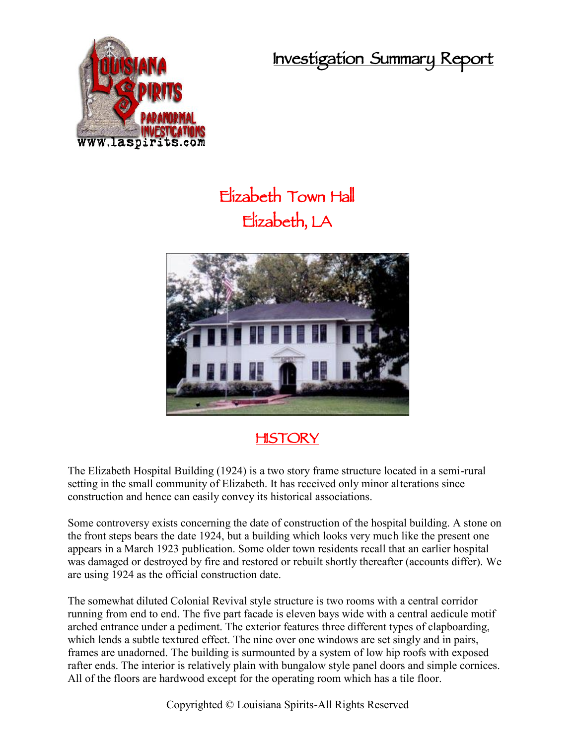**Investigation Summary Report**



## **Elizabeth Town Hall Elizabeth, LA**



## **HISTORY**

The Elizabeth Hospital Building (1924) is a two story frame structure located in a semi-rural setting in the small community of Elizabeth. It has received only minor alterations since construction and hence can easily convey its historical associations.

Some controversy exists concerning the date of construction of the hospital building. A stone on the front steps bears the date 1924, but a building which looks very much like the present one appears in a March 1923 publication. Some older town residents recall that an earlier hospital was damaged or destroyed by fire and restored or rebuilt shortly thereafter (accounts differ). We are using 1924 as the official construction date.

The somewhat diluted Colonial Revival style structure is two rooms with a central corridor running from end to end. The five part facade is eleven bays wide with a central aedicule motif arched entrance under a pediment. The exterior features three different types of clapboarding, which lends a subtle textured effect. The nine over one windows are set singly and in pairs, frames are unadorned. The building is surmounted by a system of low hip roofs with exposed rafter ends. The interior is relatively plain with bungalow style panel doors and simple cornices. All of the floors are hardwood except for the operating room which has a tile floor.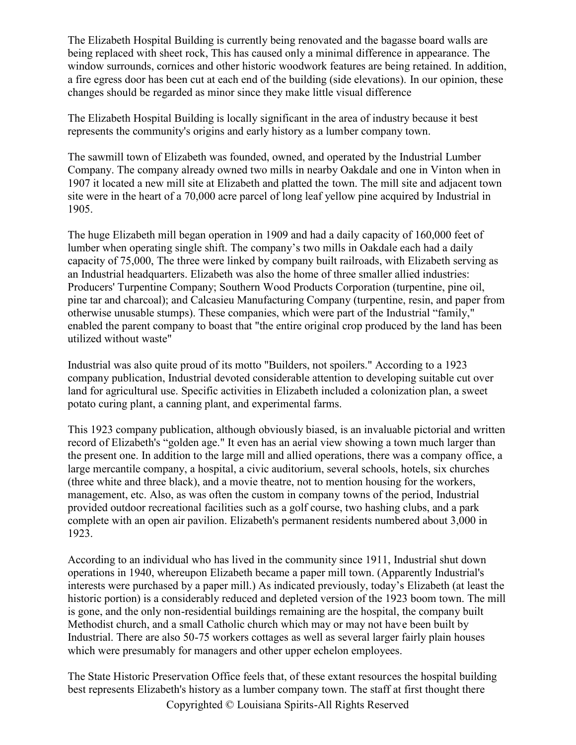The Elizabeth Hospital Building is currently being renovated and the bagasse board walls are being replaced with sheet rock, This has caused only a minimal difference in appearance. The window surrounds, cornices and other historic woodwork features are being retained. In addition, a fire egress door has been cut at each end of the building (side elevations). In our opinion, these changes should be regarded as minor since they make little visual difference

The Elizabeth Hospital Building is locally significant in the area of industry because it best represents the community's origins and early history as a lumber company town.

The sawmill town of Elizabeth was founded, owned, and operated by the Industrial Lumber Company. The company already owned two mills in nearby Oakdale and one in Vinton when in 1907 it located a new mill site at Elizabeth and platted the town. The mill site and adjacent town site were in the heart of a 70,000 acre parcel of long leaf yellow pine acquired by Industrial in 1905.

The huge Elizabeth mill began operation in 1909 and had a daily capacity of 160,000 feet of lumber when operating single shift. The company's two mills in Oakdale each had a daily capacity of 75,000, The three were linked by company built railroads, with Elizabeth serving as an Industrial headquarters. Elizabeth was also the home of three smaller allied industries: Producers' Turpentine Company; Southern Wood Products Corporation (turpentine, pine oil, pine tar and charcoal); and Calcasieu Manufacturing Company (turpentine, resin, and paper from otherwise unusable stumps). These companies, which were part of the Industrial "family," enabled the parent company to boast that "the entire original crop produced by the land has been utilized without waste"

Industrial was also quite proud of its motto "Builders, not spoilers." According to a 1923 company publication, Industrial devoted considerable attention to developing suitable cut over land for agricultural use. Specific activities in Elizabeth included a colonization plan, a sweet potato curing plant, a canning plant, and experimental farms.

This 1923 company publication, although obviously biased, is an invaluable pictorial and written record of Elizabeth's "golden age." It even has an aerial view showing a town much larger than the present one. In addition to the large mill and allied operations, there was a company office, a large mercantile company, a hospital, a civic auditorium, several schools, hotels, six churches (three white and three black), and a movie theatre, not to mention housing for the workers, management, etc. Also, as was often the custom in company towns of the period, Industrial provided outdoor recreational facilities such as a golf course, two hashing clubs, and a park complete with an open air pavilion. Elizabeth's permanent residents numbered about 3,000 in 1923.

According to an individual who has lived in the community since 1911, Industrial shut down operations in 1940, whereupon Elizabeth became a paper mill town. (Apparently Industrial's interests were purchased by a paper mill.) As indicated previously, today's Elizabeth (at least the historic portion) is a considerably reduced and depleted version of the 1923 boom town. The mill is gone, and the only non-residential buildings remaining are the hospital, the company built Methodist church, and a small Catholic church which may or may not have been built by Industrial. There are also 50-75 workers cottages as well as several larger fairly plain houses which were presumably for managers and other upper echelon employees.

The State Historic Preservation Office feels that, of these extant resources the hospital building best represents Elizabeth's history as a lumber company town. The staff at first thought there

Copyrighted © Louisiana Spirits-All Rights Reserved